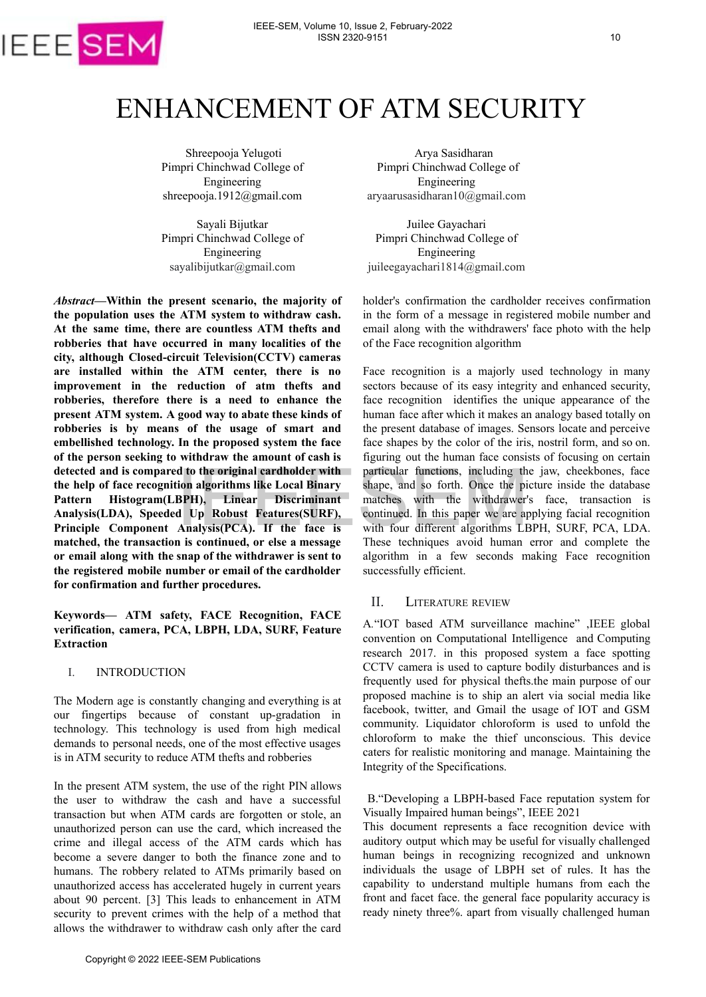

# ENHANCEMENT OF ATM SECURITY

Shreepooja Yelugoti Pimpri Chinchwad College of Engineering [shreepoo](mailto:sayalibijutkar@gmail.com)ja.1912@gmail.com

Sayali Bijutkar Pimpri Chinchwad College of Engineering sayalibijutkar@gmail.com

*Abstract***—Within the present scenario, the majority of the population uses the ATM system to withdraw cash. At the same time, there are countless ATM thefts and robberies that have occurred in many localities of the city, although Closed-circuit Television(CCTV) cameras are installed within the ATM center, there is no improvement in the reduction of atm thefts and robberies, therefore there is a need to enhance the present ATM system. A good way to abate these kinds of robberies is by means of the usage of smart and embellished technology. In the proposed system the face of the person seeking to withdraw the amount of cash is detected and is compared to the original cardholder with the help of face recognition algorithms like Local Binary Pattern Histogram(LBPH), Linear Discriminant Analysis(LDA), Speeded Up Robust Features(SURF), Principle Component Analysis(PCA). If the face is matched, the transaction is continued, or else a message or email along with the snap of the withdrawer is sent to the registered mobile number or email of the cardholder for confirmation and further procedures.**

**Keywords— ATM safety, FACE Recognition, FACE verification, camera, PCA, LBPH, LDA, SURF, Feature Extraction**

### I. INTRODUCTION

The Modern age is constantly changing and everything is at our fingertips because of constant up-gradation in technology. This technology is used from high medical demands to personal needs, one of the most effective usages is in ATM security to reduce ATM thefts and robberies

In the present ATM system, the use of the right PIN allows the user to withdraw the cash and have a successful transaction but when ATM cards are forgotten or stole, an unauthorized person can use the card, which increased the crime and illegal access of the ATM cards which has become a severe danger to both the finance zone and to humans. The robbery related to ATMs primarily based on unauthorized access has accelerated hugely in current years about 90 percent. [3] This leads to enhancement in ATM security to prevent crimes with the help of a method that allows the withdrawer to withdraw cash only after the card d and is compared to the original careholder with<br>the particular state of the properties and is controlled to ANS product the principal care recognition algorithms like Local Binary shape, and so fonth. Once the pi<br>
In Hi

Arya Sasidharan Pimpri Chinchwad College of Engineering aryaarusasidharan10@gmail.com

Juilee Gayachari Pimpri Chinchwad College of Engineering juileegayachari1814@gmail.com

holder's confirmation the cardholder receives confirmation in the form of a message in registered mobile number and email along with the withdrawers' face photo with the help of the Face recognition algorithm

Face recognition is a majorly used technology in many sectors because of its easy integrity and enhanced security, face recognition identifies the unique appearance of the human face after which it makes an analogy based totally on the present database of images. Sensors locate and perceive face shapes by the color of the iris, nostril form, and so on. figuring out the human face consists of focusing on certain particular functions, including the jaw, cheekbones, face shape, and so forth. Once the picture inside the database matches with the withdrawer's face, transaction is continued. In this paper we are applying facial recognition with four different algorithms LBPH, SURF, PCA, LDA. These techniques avoid human error and complete the algorithm in a few seconds making Face recognition successfully efficient.

# II. LITERATURE REVIEW

A*.*"IOT based ATM surveillance machine" ,IEEE global convention on Computational Intelligence and Computing research 2017. in this proposed system a face spotting CCTV camera is used to capture bodily disturbances and is frequently used for physical thefts.the main purpose of our proposed machine is to ship an alert via social media like facebook, twitter, and Gmail the usage of IOT and GSM community. Liquidator chloroform is used to unfold the chloroform to make the thief unconscious. This device caters for realistic monitoring and manage. Maintaining the Integrity of the Specifications.

B."Developing a LBPH-based Face reputation system for Visually Impaired human beings", IEEE 2021

This document represents a face recognition device with auditory output which may be useful for visually challenged human beings in recognizing recognized and unknown individuals the usage of LBPH set of rules. It has the capability to understand multiple humans from each the front and facet face. the general face popularity accuracy is ready ninety three%. apart from visually challenged human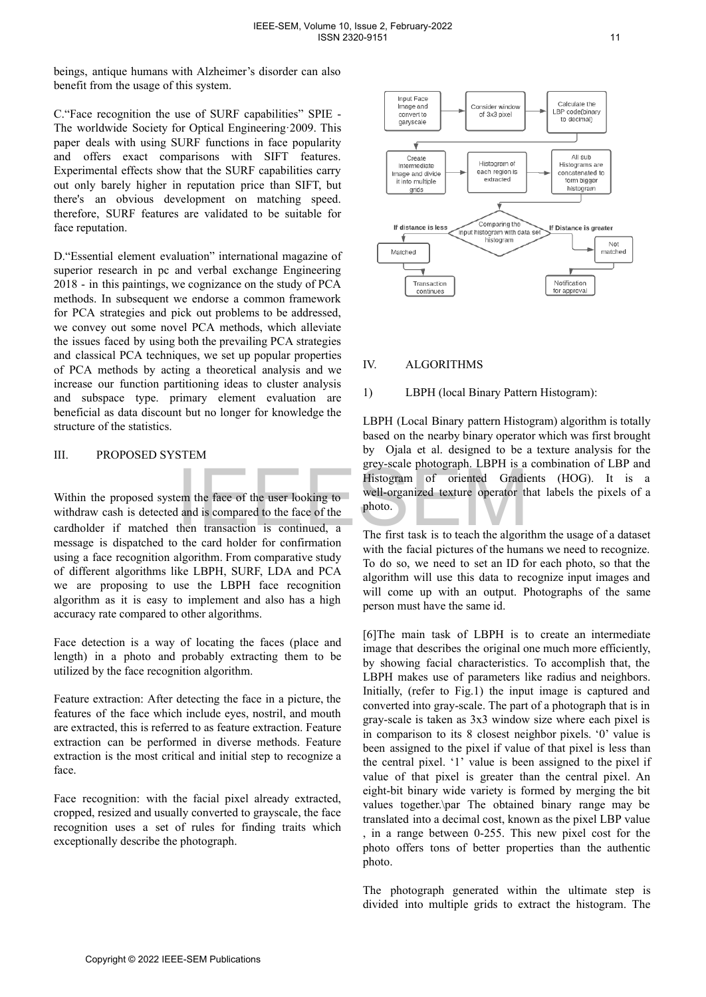beings, antique humans with Alzheimer's disorder can also benefit from the usage of this system.

C."Face recognition the use of SURF capabilities" SPIE - The worldwide Society for Optical Engineering·2009. This paper deals with using SURF functions in face popularity and offers exact comparisons with SIFT features. Experimental effects show that the SURF capabilities carry out only barely higher in reputation price than SIFT, but there's an obvious development on matching speed. therefore, SURF features are validated to be suitable for face reputation.

D."Essential element evaluation" international magazine of superior research in pc and verbal exchange Engineering 2018 - in this paintings, we cognizance on the study of PCA methods. In subsequent we endorse a common framework for PCA strategies and pick out problems to be addressed, we convey out some novel PCA methods, which alleviate the issues faced by using both the prevailing PCA strategies and classical PCA techniques, we set up popular properties of PCA methods by acting a theoretical analysis and we increase our function partitioning ideas to cluster analysis and subspace type. primary element evaluation are beneficial as data discount but no longer for knowledge the structure of the statistics.

# III. PROPOSED SYSTEM

Within the proposed system the face of the user looking to withdraw cash is detected and is compared to the face of the cardholder if matched then transaction is continued, a message is dispatched to the card holder for confirmation using a face recognition algorithm. From comparative study of different algorithms like LBPH, SURF, LDA and PCA we are proposing to use the LBPH face recognition algorithm as it is easy to implement and also has a high accuracy rate compared to other algorithms.

Face detection is a way of locating the faces (place and length) in a photo and probably extracting them to be utilized by the face recognition algorithm.

Feature extraction: After detecting the face in a picture, the features of the face which include eyes, nostril, and mouth are extracted, this is referred to as feature extraction. Feature extraction can be performed in diverse methods. Feature extraction is the most critical and initial step to recognize a face.

Face recognition: with the facial pixel already extracted, cropped, resized and usually converted to grayscale, the face recognition uses a set of rules for finding traits which exceptionally describe the photograph.



# IV. ALGORITHMS

### 1) LBPH (local Binary Pattern Histogram):

LBPH (Local Binary pattern Histogram) algorithm is totally based on the nearby binary operator which was first brought by Ojala et al. designed to be a texture analysis for the grey-scale photograph. LBPH is a combination of LBP and Histogram of oriented Gradients (HOG). It is a well-organized texture operator that labels the pixels of a photo.

The first task is to teach the algorithm the usage of a dataset with the facial pictures of the humans we need to recognize. To do so, we need to set an ID for each photo, so that the algorithm will use this data to recognize input images and will come up with an output. Photographs of the same person must have the same id.

[6]The main task of LBPH is to create an intermediate image that describes the original one much more efficiently, by showing facial characteristics. To accomplish that, the LBPH makes use of parameters like radius and neighbors. Initially, (refer to Fig.1) the input image is captured and converted into gray-scale. The part of a photograph that is in gray-scale is taken as 3x3 window size where each pixel is in comparison to its 8 closest neighbor pixels. '0' value is been assigned to the pixel if value of that pixel is less than the central pixel. '1' value is been assigned to the pixel if value of that pixel is greater than the central pixel. An eight-bit binary wide variety is formed by merging the bit values together.\par The obtained binary range may be translated into a decimal cost, known as the pixel LBP value , in a range between 0-255. This new pixel cost for the photo offers tons of better properties than the authentic photo. Examples are the three of the user looking the proposed system the face of the user looking to the loogarized texture operator of order if matched then transaction is continued, a The first task is to teach the algorithm i

The photograph generated within the ultimate step is divided into multiple grids to extract the histogram. The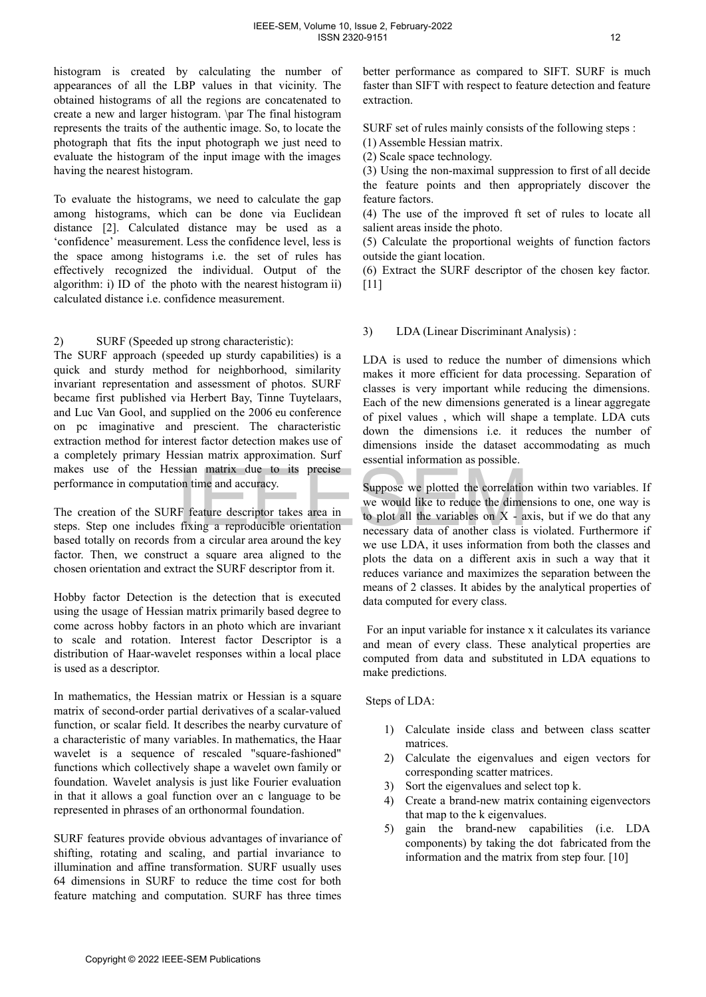histogram is created by calculating the number of appearances of all the LBP values in that vicinity. The obtained histograms of all the regions are concatenated to create a new and larger histogram. \par The final histogram represents the traits of the authentic image. So, to locate the photograph that fits the input photograph we just need to evaluate the histogram of the input image with the images having the nearest histogram.

To evaluate the histograms, we need to calculate the gap among histograms, which can be done via Euclidean distance [2]. Calculated distance may be used as a 'confidence' measurement. Less the confidence level, less is the space among histograms i.e. the set of rules has effectively recognized the individual. Output of the algorithm: i) ID of the photo with the nearest histogram ii) calculated distance i.e. confidence measurement.

2) SURF (Speeded up strong characteristic):

The SURF approach (speeded up sturdy capabilities) is a quick and sturdy method for neighborhood, similarity invariant representation and assessment of photos. SURF became first published via Herbert Bay, Tinne Tuytelaars, and Luc Van Gool, and supplied on the 2006 eu conference on pc imaginative and prescient. The characteristic extraction method for interest factor detection makes use of a completely primary Hessian matrix approximation. Surf makes use of the Hessian matrix due to its precise performance in computation time and accuracy.

The creation of the SURF feature descriptor takes area in steps. Step one includes fixing a reproducible orientation based totally on records from a circular area around the key factor. Then, we construct a square area aligned to the chosen orientation and extract the SURF descriptor from it.

Hobby factor Detection is the detection that is executed using the usage of Hessian matrix primarily based degree to come across hobby factors in an photo which are invariant to scale and rotation. Interest factor Descriptor is a distribution of Haar-wavelet responses within a local place is used as a descriptor.

In mathematics, the Hessian matrix or Hessian is a square matrix of second-order partial derivatives of a scalar-valued function, or scalar field. It describes the nearby curvature of a characteristic of many variables. In mathematics, the Haar wavelet is a sequence of rescaled "square-fashioned" functions which collectively shape a wavelet own family or foundation. Wavelet analysis is just like Fourier evaluation in that it allows a goal function over an c language to be represented in phrases of an orthonormal foundation. use of the Hessian matrix or Hessian is a squee of results be to the be a strategies of the studies of the SURF feature descriptor takes area in we would like to reduce the dimension of the SURF feature descriptor takes ar

SURF features provide obvious advantages of invariance of shifting, rotating and scaling, and partial invariance to illumination and affine transformation. SURF usually uses 64 dimensions in SURF to reduce the time cost for both feature matching and computation. SURF has three times

better performance as compared to SIFT. SURF is much faster than SIFT with respect to feature detection and feature extraction.

SURF set of rules mainly consists of the following steps :

(1) Assemble Hessian matrix.

(2) Scale space technology.

(3) Using the non-maximal suppression to first of all decide the feature points and then appropriately discover the feature factors.

(4) The use of the improved ft set of rules to locate all salient areas inside the photo.

(5) Calculate the proportional weights of function factors outside the giant location.

(6) Extract the SURF descriptor of the chosen key factor. [11]

3) LDA (Linear Discriminant Analysis) :

LDA is used to reduce the number of dimensions which makes it more efficient for data processing. Separation of classes is very important while reducing the dimensions. Each of the new dimensions generated is a linear aggregate of pixel values , which will shape a template. LDA cuts down the dimensions i.e. it reduces the number of dimensions inside the dataset accommodating as much essential information as possible.

Suppose we plotted the correlation within two variables. If we would like to reduce the dimensions to one, one way is to plot all the variables on  $X$  - axis, but if we do that any necessary data of another class is violated. Furthermore if we use LDA, it uses information from both the classes and plots the data on a different axis in such a way that it reduces variance and maximizes the separation between the means of 2 classes. It abides by the analytical properties of data computed for every class.

For an input variable for instance x it calculates its variance and mean of every class. These analytical properties are computed from data and substituted in LDA equations to make predictions.

Steps of LDA:

- 1) Calculate inside class and between class scatter matrices.
- 2) Calculate the eigenvalues and eigen vectors for corresponding scatter matrices.
- 3) Sort the eigenvalues and select top k.
- 4) Create a brand-new matrix containing eigenvectors that map to the k eigenvalues.
- 5) gain the brand-new capabilities (i.e. LDA components) by taking the dot fabricated from the information and the matrix from step four. [10]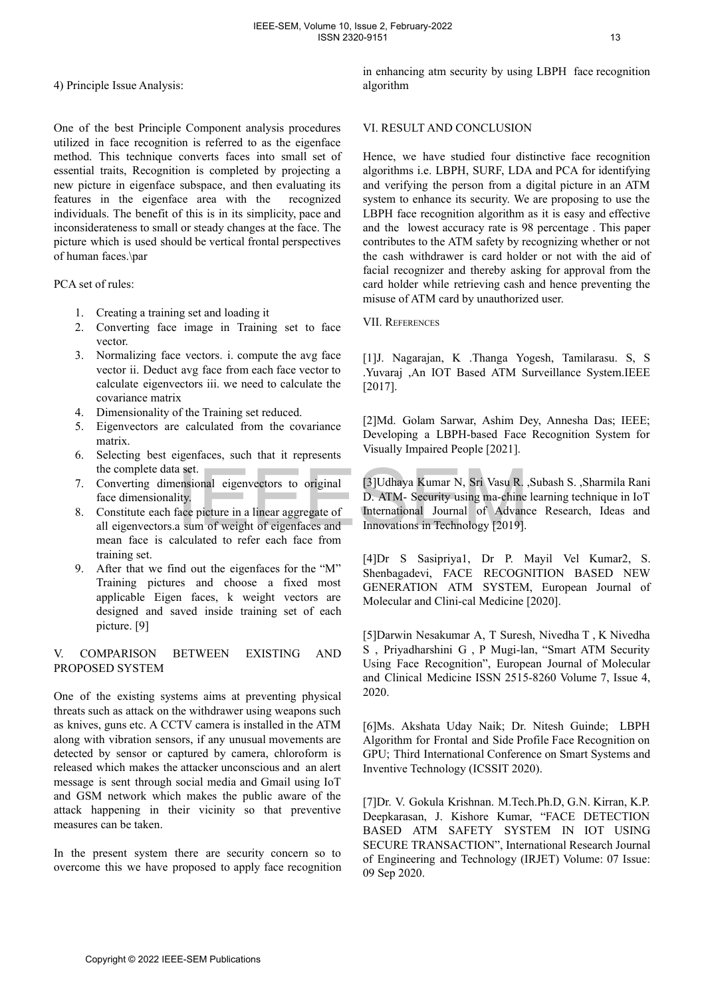4) Principle Issue Analysis:

One of the best Principle Component analysis procedures utilized in face recognition is referred to as the eigenface method. This technique converts faces into small set of essential traits, Recognition is completed by projecting a new picture in eigenface subspace, and then evaluating its features in the eigenface area with the recognized individuals. The benefit of this is in its simplicity, pace and inconsiderateness to small or steady changes at the face. The picture which is used should be vertical frontal perspectives of human faces.\par

PCA set of rules:

- 1. Creating a training set and loading it
- 2. Converting face image in Training set to face vector.
- 3. Normalizing face vectors. i. compute the avg face vector ii. Deduct avg face from each face vector to calculate eigenvectors iii. we need to calculate the covariance matrix
- 4. Dimensionality of the Training set reduced.
- 5. Eigenvectors are calculated from the covariance matrix.
- 6. Selecting best eigenfaces, such that it represents the complete data set.
- 7. Converting dimensional eigenvectors to original face dimensionality.
- 8. Constitute each face picture in a linear aggregate of all eigenvectors.a sum of weight of eigenfaces and mean face is calculated to refer each face from training set.
- 9. After that we find out the eigenfaces for the "M" Training pictures and choose a fixed most applicable Eigen faces, k weight vectors are designed and saved inside training set of each picture. [9]

# V. COMPARISON BETWEEN EXISTING AND PROPOSED SYSTEM

One of the existing systems aims at preventing physical threats such as attack on the withdrawer using weapons such as knives, guns etc. A CCTV camera is installed in the ATM along with vibration sensors, if any unusual movements are detected by sensor or captured by camera, chloroform is released which makes the attacker unconscious and an alert message is sent through social media and Gmail using IoT and GSM network which makes the public aware of the attack happening in their vicinity so that preventive measures can be taken. the complete data set.<br>
Converting dimensional eigenvectors to original  $2$ [3]Udhaya Kumar N, Sri Vasu R,<br>
free dimensional igenvectors in a linear aggregate of<br>
thermational Journal of Advance<br>
constitute each face pictu

In the present system there are security concern so to overcome this we have proposed to apply face recognition in enhancing atm security by using LBPH face recognition algorithm

### VI. RESULT AND CONCLUSION

Hence, we have studied four distinctive face recognition algorithms i.e. LBPH, SURF, LDA and PCA for identifying and verifying the person from a digital picture in an ATM system to enhance its security. We are proposing to use the LBPH face recognition algorithm as it is easy and effective and the lowest accuracy rate is 98 percentage . This paper contributes to the ATM safety by recognizing whether or not the cash withdrawer is card holder or not with the aid of facial recognizer and thereby asking for approval from the card holder while retrieving cash and hence preventing the misuse of ATM card by unauthorized user.

### VII. REFERENCES

[1]J. Nagarajan, K .Thanga Yogesh, Tamilarasu. S, S .Yuvaraj ,An IOT Based ATM Surveillance System.IEEE [2017].

[2]Md. Golam Sarwar, Ashim Dey, Annesha Das; IEEE; Developing a LBPH-based Face Recognition System for Visually Impaired People [2021].

[3]Udhaya Kumar N, Sri Vasu R. ,Subash S. ,Sharmila Rani D. ATM- Security using ma-chine learning technique in IoT International Journal of Advance Research, Ideas and Innovations in Technology [2019].

[4]Dr S Sasipriya1, Dr P. Mayil Vel Kumar2, S. Shenbagadevi, FACE RECOGNITION BASED NEW GENERATION ATM SYSTEM, European Journal of Molecular and Clini-cal Medicine [2020].

[5]Darwin Nesakumar A, T Suresh, Nivedha T , K Nivedha S , Priyadharshini G , P Mugi-lan, "Smart ATM Security Using Face Recognition", European Journal of Molecular and Clinical Medicine ISSN 2515-8260 Volume 7, Issue 4, 2020.

[6]Ms. Akshata Uday Naik; Dr. Nitesh Guinde; LBPH Algorithm for Frontal and Side Profile Face Recognition on GPU; Third International Conference on Smart Systems and Inventive Technology (ICSSIT 2020).

[7]Dr. V. Gokula Krishnan. M.Tech.Ph.D, G.N. Kirran, K.P. Deepkarasan, J. Kishore Kumar, "FACE DETECTION BASED ATM SAFETY SYSTEM IN IOT USING SECURE TRANSACTION", International Research Journal of Engineering and Technology (IRJET) Volume: 07 Issue: 09 Sep 2020.